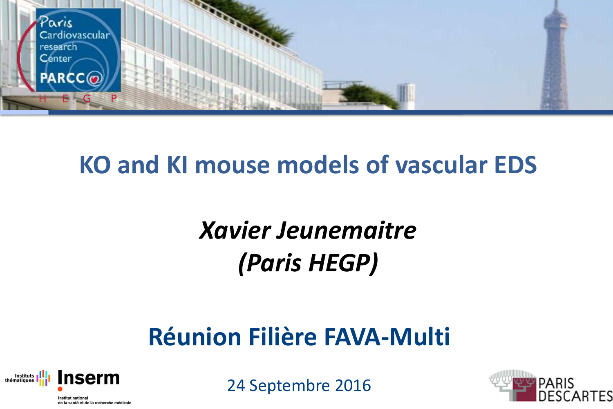

## **KO and KI mouse models of vascular EDS**

# *Xavier Jeunemaitre (Paris HEGP)*

## **Réunion Filière FAVA-Multi**



24 Septembre 2016

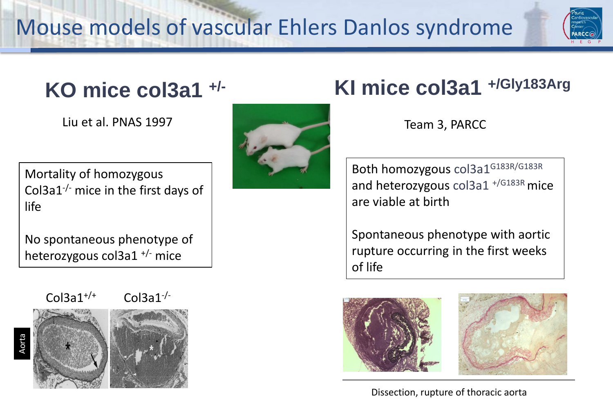

## **KO mice col3a1 +/-**

Liu et al. PNAS 1997

Mortality of homozygous Col3a1 $\cdot$ - mice in the first days of life

No spontaneous phenotype of heterozygous col3a1 +/- mice



Aorta







### **KI mice col3a1 +/Gly183Arg**

Team 3, PARCC

Both homozygous col3a1G183R/G183R and heterozygous  $\frac{1.6183R}{1.6183R}$  mice are viable at birth

Spontaneous phenotype with aortic rupture occurring in the first weeks of life





Dissection, rupture of thoracic aorta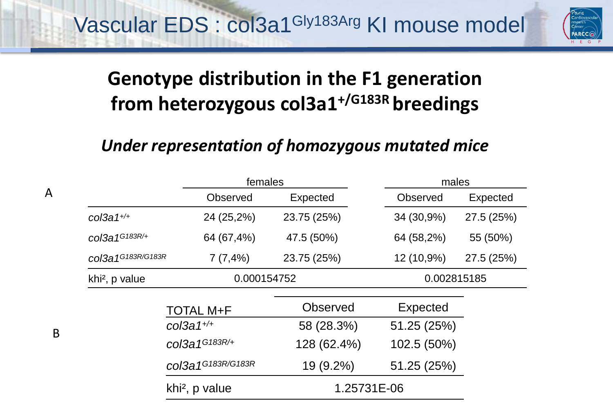Vascular EDS : col3a1Gly183Arg KI mouse model



### **Genotype distribution in the F1 generation from heterozygous col3a1+/G183R breedings**

#### *Under representation of homozygous mutated mice*

|                            |                            | females         |                 | males      |  |
|----------------------------|----------------------------|-----------------|-----------------|------------|--|
|                            | <b>Observed</b>            | Expected        | <b>Observed</b> | Expected   |  |
| $col3a 1^{+/+}$            | 24 (25,2%)                 | 23.75 (25%)     | 34 (30,9%)      | 27.5 (25%) |  |
| $col3a1^{G183R/+}$         | 64 (67,4%)                 | 47.5 (50%)      | 64 (58,2%)      | 55 (50%)   |  |
| col3a1G183R/G183R          | 7(7,4%)                    | 23.75 (25%)     | 12 (10,9%)      | 27.5 (25%) |  |
| khi <sup>2</sup> , p value | 0.000154752                |                 | 0.002815185     |            |  |
|                            | <b>TOTAL M+F</b>           | <b>Observed</b> | Expected        |            |  |
|                            | $col3a 1+/+$               | 58 (28.3%)      | 51.25 (25%)     |            |  |
|                            | col3a1G183R/+              | 128 (62.4%)     | 102.5 (50%)     |            |  |
|                            | col3a1G183R/G183R          | 19 (9.2%)       | 51.25 (25%)     |            |  |
|                            | khi <sup>2</sup> , p value | 1.25731E-06     |                 |            |  |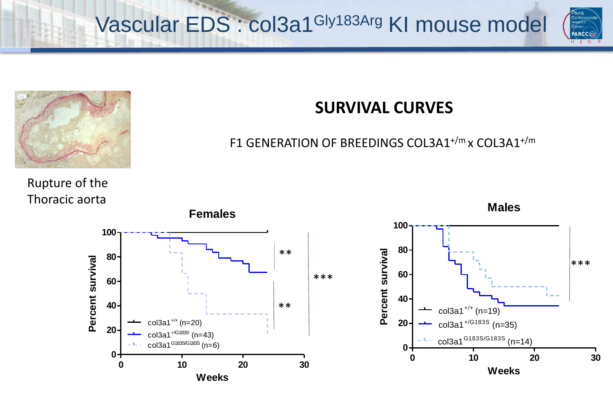Vascular EDS : col3a1Gly183Arg KI mouse model





#### **SURVIVAL CURVES**

#### F1 GENERATION OF BREEDINGS COL3A1+/m x COL3A1+/m

Rupture of the Thoracic aorta





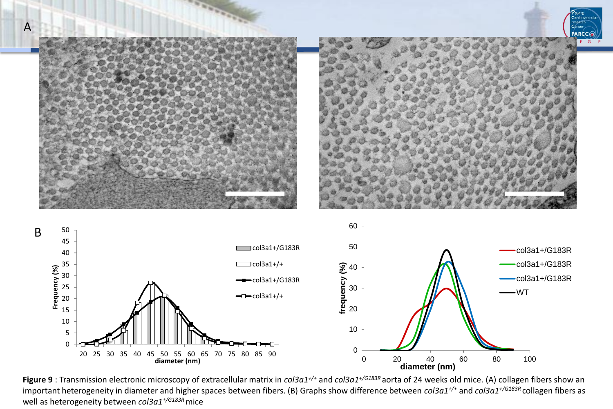

**Figure 9** : Transmission electronic microscopy of extracellular matrix in *col3a1+/+* and *col3a1+/G183R* aorta of 24 weeks old mice. (A) collagen fibers show an important heterogeneity in diameter and higher spaces between fibers. (B) Graphs show difference between *col3a1+/+* and *col3a1+/G183R* collagen fibers as well as heterogeneity between *col3a1+/G183R* mice

0

0 20 40 60 80 100

**diameter (nm)**

20 25 30 35 40 45 50 55 60 65 70 75 80 85 90

**diameter (nm)**